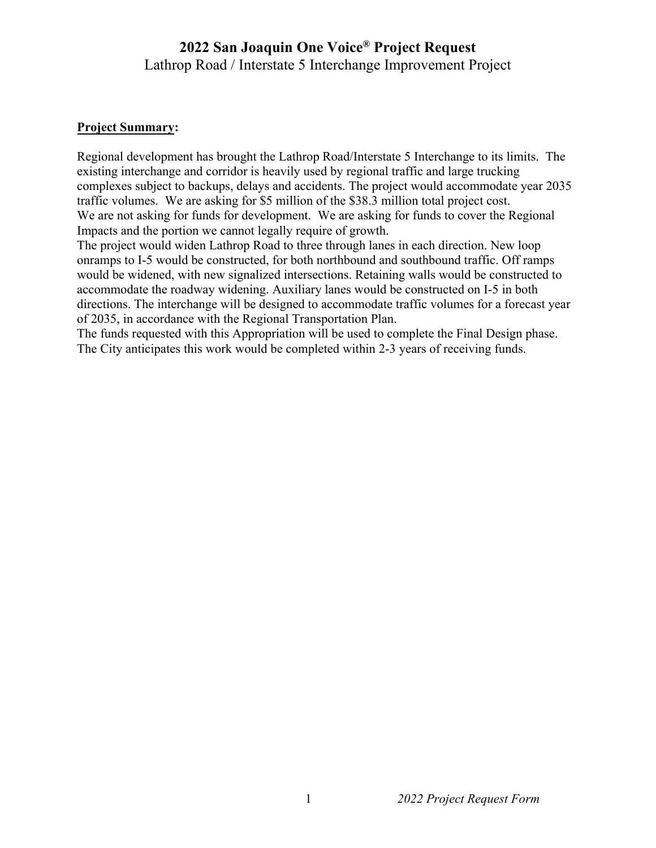## **2022 San Joaquin One Voice® Project Request**  Lathrop Road / Interstate 5 Interchange Improvement Project

## **Project Summary:**

Regional development has brought the Lathrop Road/Interstate 5 Interchange to its limits. The existing interchange and corridor is heavily used by regional traffic and large trucking complexes subject to backups, delays and accidents. The project would accommodate year 2035 traffic volumes. We are asking for \$5 million of the \$38.3 million total project cost. We are not asking for funds for development. We are asking for funds to cover the Regional Impacts and the portion we cannot legally require of growth.

The project would widen Lathrop Road to three through lanes in each direction. New loop onramps to I-5 would be constructed, for both northbound and southbound traffic. Off ramps would be widened, with new signalized intersections. Retaining walls would be constructed to accommodate the roadway widening. Auxiliary lanes would be constructed on I-5 in both directions. The interchange will be designed to accommodate traffic volumes for a forecast year of 2035, in accordance with the Regional Transportation Plan.

The funds requested with this Appropriation will be used to complete the Final Design phase. The City anticipates this work would be completed within 2-3 years of receiving funds.